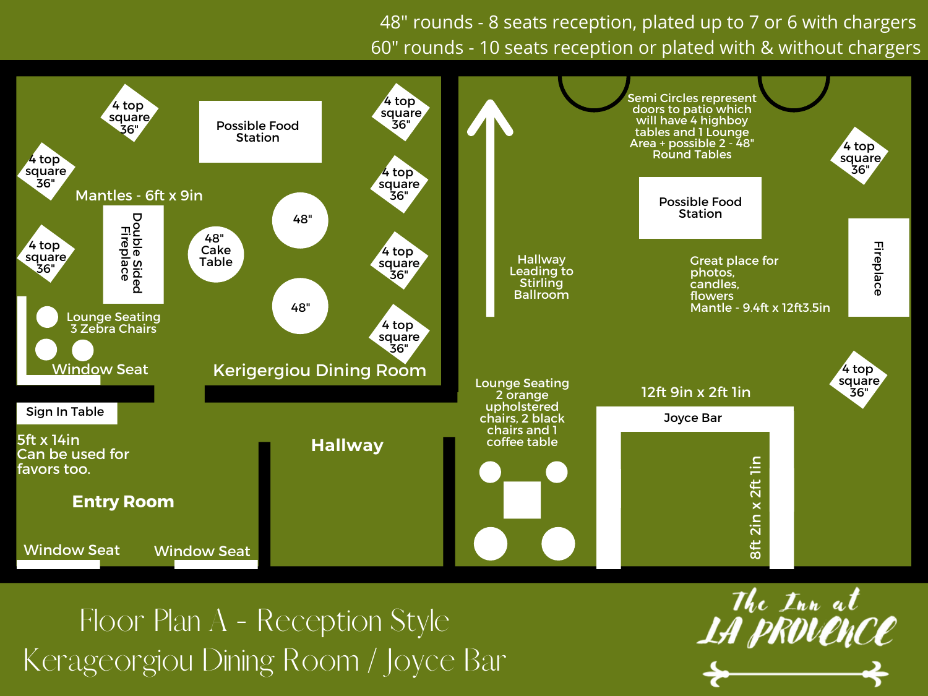48" rounds - 8 seats reception, plated up to 7 or 6 with chargers 60" rounds - 10 seats reception or plated with & without chargers



Floor Plan A - Reception Style Kerageorgiou Dining Room / Joyce Bar